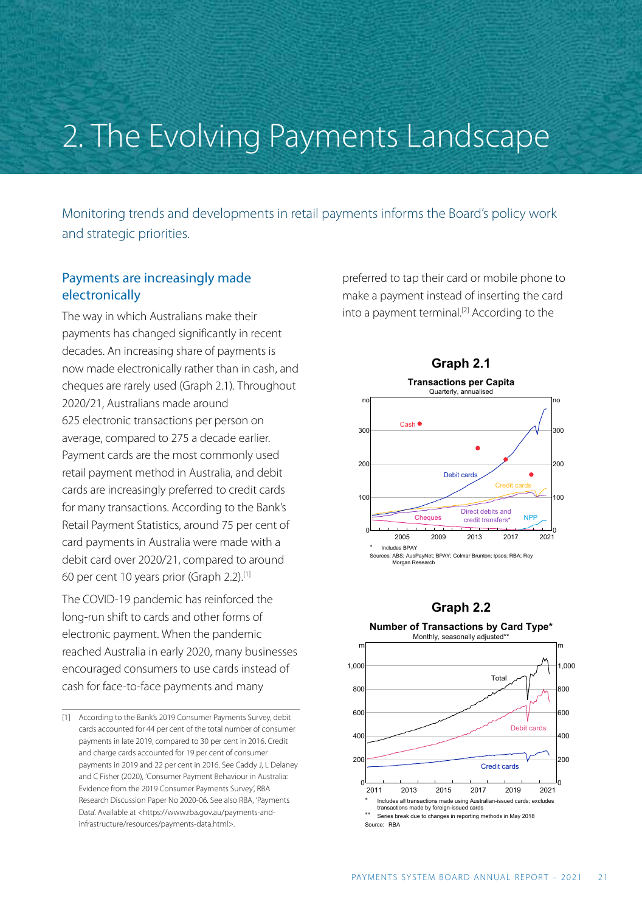# 2. The Evolving Payments Landscape

Monitoring trends and developments in retail payments informs the Board's policy work and strategic priorities.

# Payments are increasingly made electronically

The way in which Australians make their payments has changed significantly in recent decades. An increasing share of payments is now made electronically rather than in cash, and cheques are rarely used (Graph 2.1). Throughout 2020/21, Australians made around 625 electronic transactions per person on average, compared to 275 a decade earlier. Payment cards are the most commonly used retail payment method in Australia, and debit cards are increasingly preferred to credit cards for many transactions. According to the Bank's Retail Payment Statistics, around 75 per cent of card payments in Australia were made with a debit card over 2020/21, compared to around 60 per cent 10 years prior (Graph 2.2).[1]

The COVID-19 pandemic has reinforced the long-run shift to cards and other forms of electronic payment. When the pandemic reached Australia in early 2020, many businesses encouraged consumers to use cards instead of cash for face-to-face payments and many

preferred to tap their card or mobile phone to make a payment instead of inserting the card into a payment terminal. [2] According to the



## **Graph 2.2**



<sup>[1]</sup> According to the Bank's 2019 Consumer Payments Survey, debit cards accounted for 44 per cent of the total number of consumer payments in late 2019, compared to 30 per cent in 2016. Credit and charge cards accounted for 19 per cent of consumer payments in 2019 and 22 per cent in 2016. See Caddy J, L Delaney and C Fisher (2020), 'Consumer Payment Behaviour in Australia: Evidence from the 2019 Consumer Payments Survey', [RBA](https://www.rba.gov.au/publications/rdp/2020/2020-06/full.html) [Research Discussion Paper No 2020-06.](https://www.rba.gov.au/publications/rdp/2020/2020-06/full.html) See also RBA, 'Payments Data'. Available at [<https://www.rba.gov.au/payments-and](https://www.rba.gov.au/payments-and-infrastructure/resources/payments-data.html)[infrastructure/resources/payments-data.html>](https://www.rba.gov.au/payments-and-infrastructure/resources/payments-data.html).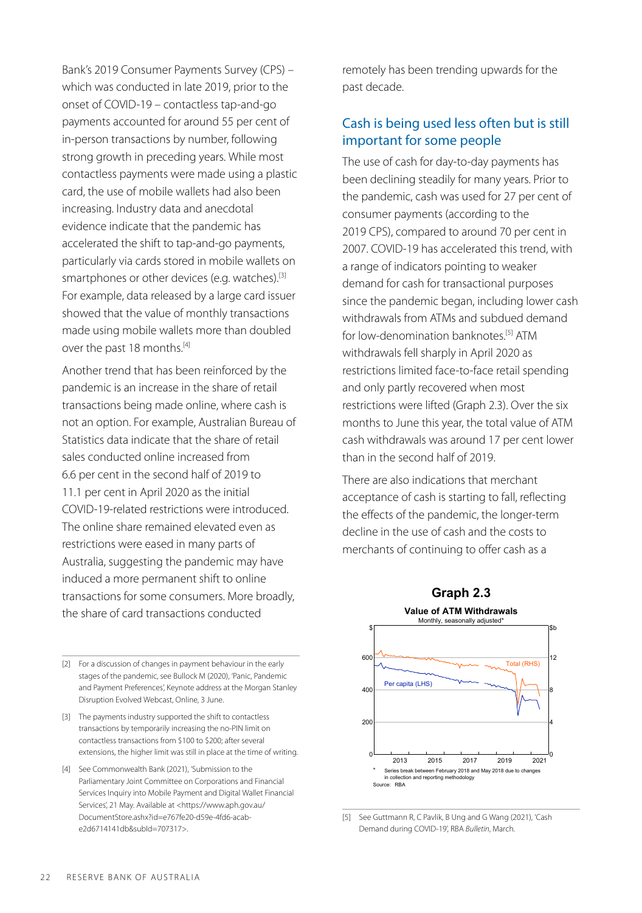Bank's 2019 Consumer Payments Survey (CPS) – which was conducted in late 2019, prior to the onset of COVID-19 – contactless tap-and-go payments accounted for around 55 per cent of in-person transactions by number, following strong growth in preceding years. While most contactless payments were made using a plastic card, the use of mobile wallets had also been increasing. Industry data and anecdotal evidence indicate that the pandemic has accelerated the shift to tap-and-go payments, particularly via cards stored in mobile wallets on smartphones or other devices (e.g. watches).<sup>[3]</sup> For example, data released by a large card issuer showed that the value of monthly transactions made using mobile wallets more than doubled over the past 18 months. [4]

Another trend that has been reinforced by the pandemic is an increase in the share of retail transactions being made online, where cash is not an option. For example, Australian Bureau of Statistics data indicate that the share of retail sales conducted online increased from 6.6 per cent in the second half of 2019 to 11.1 per cent in April 2020 as the initial COVID-19-related restrictions were introduced. The online share remained elevated even as restrictions were eased in many parts of Australia, suggesting the pandemic may have induced a more permanent shift to online transactions for some consumers. More broadly, the share of card transactions conducted

[2] For a discussion of changes in payment behaviour in the early stages of the pandemic, see Bullock M (2020), ['Panic, Pandemic](https://www.rba.gov.au/speeches/2020/sp-ag-2020-06-03.html) [and Payment Preferences',](https://www.rba.gov.au/speeches/2020/sp-ag-2020-06-03.html) Keynote address at the Morgan Stanley Disruption Evolved Webcast, Online, 3 June.

[3] The payments industry supported the shift to contactless transactions by temporarily increasing the no-PIN limit on contactless transactions from \$100 to \$200; after several extensions, the higher limit was still in place at the time of writing.

[4] See Commonwealth Bank (2021), 'Submission to the Parliamentary Joint Committee on Corporations and Financial Services Inquiry into Mobile Payment and Digital Wallet Financial Services', 21 May. Available at <https://www.aph.gov.au/ DocumentStore.ashx?id=e767fe20-d59e-4fd6-acabe2d6714141db&subId=707317>.

remotely has been trending upwards for the past decade.

## Cash is being used less often but is still important for some people

The use of cash for day-to-day payments has been declining steadily for many years. Prior to the pandemic, cash was used for 27 per cent of consumer payments (according to the 2019 CPS), compared to around 70 per cent in 2007. COVID-19 has accelerated this trend, with a range of indicators pointing to weaker demand for cash for transactional purposes since the pandemic began, including lower cash withdrawals from ATMs and subdued demand for low-denomination banknotes. [5] ATM withdrawals fell sharply in April 2020 as restrictions limited face-to-face retail spending and only partly recovered when most restrictions were lifted (Graph 2.3). Over the six months to June this year, the total value of ATM cash withdrawals was around 17 per cent lower than in the second half of 2019.

There are also indications that merchant acceptance of cash is starting to fall, reflecting the effects of the pandemic, the longer-term decline in the use of cash and the costs to merchants of continuing to offer cash as a



[5] See Guttmann R, C Pavlik, B Ung and G Wang (2021), 'Cash Demand during COVID-19', RBA *[Bulletin](https://www.rba.gov.au/publications/bulletin/2021/mar/cash-demand-during-covid-19.html)*, March.

#### 22 RESERVE BANK OF AUSTRALIA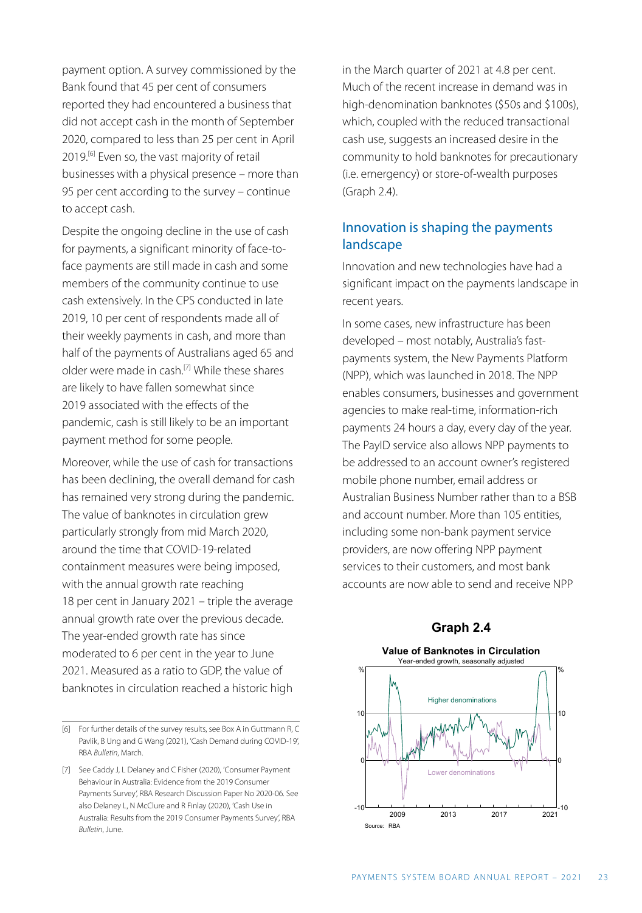payment option. A survey commissioned by the Bank found that 45 per cent of consumers reported they had encountered a business that did not accept cash in the month of September 2020, compared to less than 25 per cent in April 2019.<sup>[6]</sup> Even so, the vast majority of retail businesses with a physical presence – more than 95 per cent according to the survey – continue to accept cash.

Despite the ongoing decline in the use of cash for payments, a significant minority of face-toface payments are still made in cash and some members of the community continue to use cash extensively. In the CPS conducted in late 2019, 10 per cent of respondents made all of their weekly payments in cash, and more than half of the payments of Australians aged 65 and older were made in cash.[7] While these shares are likely to have fallen somewhat since 2019 associated with the effects of the pandemic, cash is still likely to be an important payment method for some people.

Moreover, while the use of cash for transactions has been declining, the overall demand for cash has remained very strong during the pandemic. The value of banknotes in circulation grew particularly strongly from mid March 2020, around the time that COVID-19-related containment measures were being imposed, with the annual growth rate reaching 18 per cent in January 2021 – triple the average annual growth rate over the previous decade. The year-ended growth rate has since moderated to 6 per cent in the year to June 2021. Measured as a ratio to GDP, the value of banknotes in circulation reached a historic high

in the March quarter of 2021 at 4.8 per cent. Much of the recent increase in demand was in high-denomination banknotes (\$50s and \$100s), which, coupled with the reduced transactional cash use, suggests an increased desire in the community to hold banknotes for precautionary (i.e. emergency) or store-of-wealth purposes (Graph 2.4).

## Innovation is shaping the payments landscape

Innovation and new technologies have had a significant impact on the payments landscape in recent years.

In some cases, new infrastructure has been developed – most notably, Australia's fastpayments system, the New Payments Platform (NPP), which was launched in 2018. The NPP enables consumers, businesses and government agencies to make real-time, information-rich payments 24 hours a day, every day of the year. The PayID service also allows NPP payments to be addressed to an account owner's registered mobile phone number, email address or Australian Business Number rather than to a BSB and account number. More than 105 entities, including some non-bank payment service providers, are now offering NPP payment services to their customers, and most bank accounts are now able to send and receive NPP

## **Graph 2.4**

### **Value of Banknotes in Circulation**



<sup>[6]</sup> For further details of the survey results, see Box A in Guttmann R, C Pavlik, B Ung and G Wang (2021), 'Cash Demand during COVID-19', RBA *[Bulletin](https://www.rba.gov.au/publications/bulletin/2021/mar/cash-demand-during-covid-19.html)*, March.

<sup>[7]</sup> See Caddy J, L Delaney and C Fisher (2020), 'Consumer Payment Behaviour in Australia: Evidence from the 2019 Consumer Payments Survey', [RBA Research Discussion Paper No 2020-06.](https://www.rba.gov.au/publications/rdp/2020/2020-06/full.html) See also Delaney L, N McClure and R Finlay (2020), 'Cash Use in Australia: Results from the 2019 Consumer Payments Survey', RBA *[Bulletin](https://www.rba.gov.au/publications/bulletin/2020/jun/cash-use-in-australia-results-from-the-2019-consumer-payments-survey.html)*, June.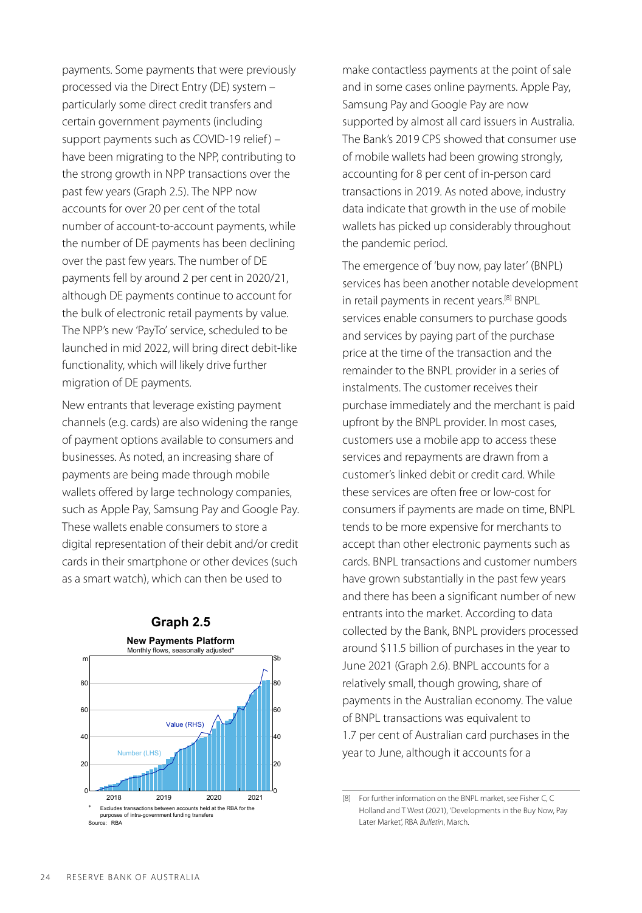payments. Some payments that were previously processed via the Direct Entry (DE) system – particularly some direct credit transfers and certain government payments (including support payments such as COVID-19 relief) – have been migrating to the NPP, contributing to the strong growth in NPP transactions over the past few years (Graph 2.5). The NPP now accounts for over 20 per cent of the total number of account-to-account payments, while the number of DE payments has been declining over the past few years. The number of DE payments fell by around 2 per cent in 2020/21, although DE payments continue to account for the bulk of electronic retail payments by value. The NPP's new 'PayTo' service, scheduled to be launched in mid 2022, will bring direct debit-like functionality, which will likely drive further migration of DE payments.

New entrants that leverage existing payment channels (e.g. cards) are also widening the range of payment options available to consumers and businesses. As noted, an increasing share of payments are being made through mobile wallets offered by large technology companies, such as Apple Pay, Samsung Pay and Google Pay. These wallets enable consumers to store a digital representation of their debit and/or credit cards in their smartphone or other devices (such as a smart watch), which can then be used to



make contactless payments at the point of sale and in some cases online payments. Apple Pay, Samsung Pay and Google Pay are now supported by almost all card issuers in Australia. The Bank's 2019 CPS showed that consumer use of mobile wallets had been growing strongly, accounting for 8 per cent of in-person card transactions in 2019. As noted above, industry data indicate that growth in the use of mobile wallets has picked up considerably throughout the pandemic period.

The emergence of 'buy now, pay later' (BNPL) services has been another notable development in retail payments in recent years. [8] BNPL services enable consumers to purchase goods and services by paying part of the purchase price at the time of the transaction and the remainder to the BNPL provider in a series of instalments. The customer receives their purchase immediately and the merchant is paid upfront by the BNPL provider. In most cases, customers use a mobile app to access these services and repayments are drawn from a customer's linked debit or credit card. While these services are often free or low-cost for consumers if payments are made on time, BNPL tends to be more expensive for merchants to accept than other electronic payments such as cards. BNPL transactions and customer numbers have grown substantially in the past few years and there has been a significant number of new entrants into the market. According to data collected by the Bank, BNPL providers processed around \$11.5 billion of purchases in the year to June 2021 (Graph 2.6). BNPL accounts for a relatively small, though growing, share of payments in the Australian economy. The value of BNPL transactions was equivalent to 1.7 per cent of Australian card purchases in the year to June, although it accounts for a

<sup>[8]</sup> For further information on the BNPL market, see Fisher C, C Holland and T West (2021), 'Developments in the Buy Now, Pay Later Market', RBA *[Bulletin](https://www.rba.gov.au/publications/bulletin/2021/mar/developments-in-the-buy-now-pay-later-market.html)*, March.